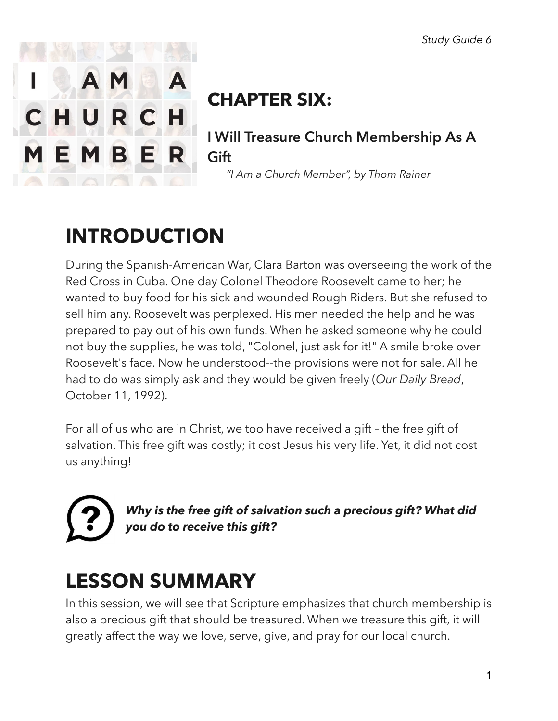

# **CHAPTER SIX:**

**I Will Treasure Church Membership As A Gift** 

 *"I Am a Church Member", by Thom Rainer* 

# **INTRODUCTION**

During the Spanish-American War, Clara Barton was overseeing the work of the Red Cross in Cuba. One day Colonel Theodore Roosevelt came to her; he wanted to buy food for his sick and wounded Rough Riders. But she refused to sell him any. Roosevelt was perplexed. His men needed the help and he was prepared to pay out of his own funds. When he asked someone why he could not buy the supplies, he was told, "Colonel, just ask for it!" A smile broke over Roosevelt's face. Now he understood--the provisions were not for sale. All he had to do was simply ask and they would be given freely (*Our Daily Bread*, October 11, 1992).

For all of us who are in Christ, we too have received a gift – the free gift of salvation. This free gift was costly; it cost Jesus his very life. Yet, it did not cost us anything!

*Why is the free gift of salvation such a precious gift? What did you do to receive this gift?* 

# **LESSON SUMMARY**

In this session, we will see that Scripture emphasizes that church membership is also a precious gift that should be treasured. When we treasure this gift, it will greatly affect the way we love, serve, give, and pray for our local church.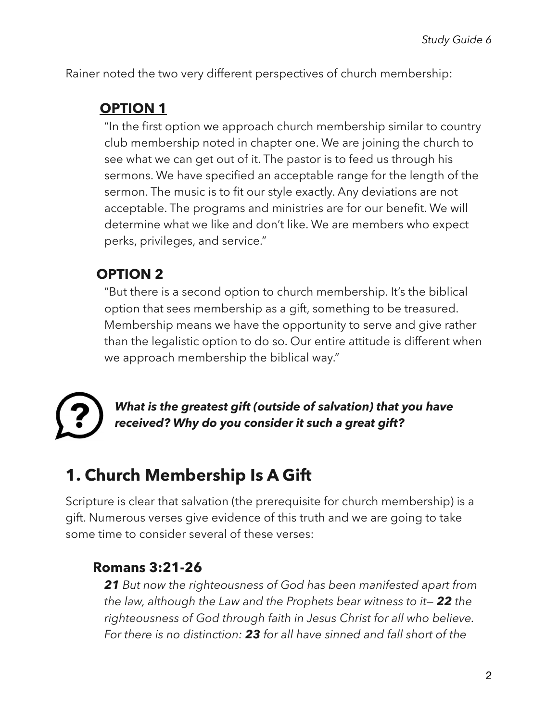Rainer noted the two very different perspectives of church membership:

### **OPTION 1**

"In the first option we approach church membership similar to country club membership noted in chapter one. We are joining the church to see what we can get out of it. The pastor is to feed us through his sermons. We have specified an acceptable range for the length of the sermon. The music is to fit our style exactly. Any deviations are not acceptable. The programs and ministries are for our benefit. We will determine what we like and don't like. We are members who expect perks, privileges, and service."

### **OPTION 2**

"But there is a second option to church membership. It's the biblical option that sees membership as a gift, something to be treasured. Membership means we have the opportunity to serve and give rather than the legalistic option to do so. Our entire attitude is different when we approach membership the biblical way."



*What is the greatest gift (outside of salvation) that you have received? Why do you consider it such a great gift?* 

# **1. Church Membership Is A Gift**

Scripture is clear that salvation (the prerequisite for church membership) is a gift. Numerous verses give evidence of this truth and we are going to take some time to consider several of these verses:

#### **Romans 3:21-26**

*21 But now the righteousness of God has been manifested apart from the law, although the Law and the Prophets bear witness to it— 22 the righteousness of God through faith in Jesus Christ for all who believe. For there is no distinction: 23 for all have sinned and fall short of the*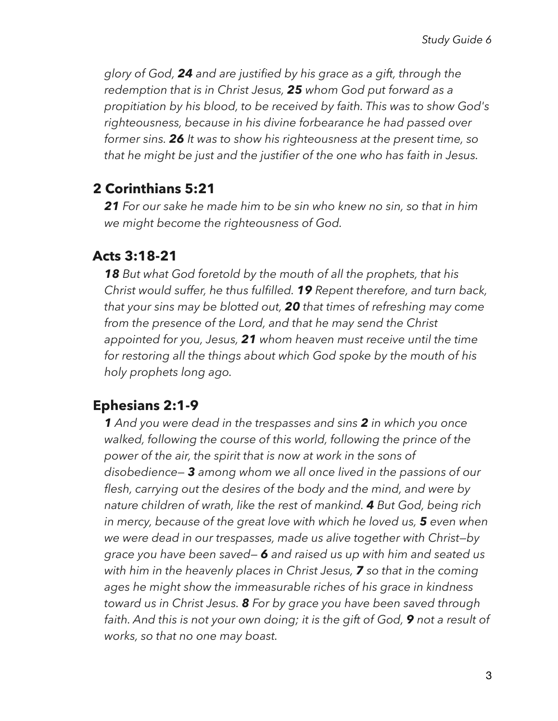*glory of God, 24 and are justified by his grace as a gift, through the redemption that is in Christ Jesus, 25 whom God put forward as a propitiation by his blood, to be received by faith. This was to show God's righteousness, because in his divine forbearance he had passed over former sins. 26 It was to show his righteousness at the present time, so that he might be just and the justifier of the one who has faith in Jesus.* 

#### **2 Corinthians 5:21**

*21 For our sake he made him to be sin who knew no sin, so that in him we might become the righteousness of God.* 

#### **Acts 3:18-21**

*18 But what God foretold by the mouth of all the prophets, that his Christ would suffer, he thus fulfilled. 19 Repent therefore, and turn back, that your sins may be blotted out, 20 that times of refreshing may come from the presence of the Lord, and that he may send the Christ appointed for you, Jesus, 21 whom heaven must receive until the time for restoring all the things about which God spoke by the mouth of his holy prophets long ago.* 

#### **Ephesians 2:1-9**

*1 And you were dead in the trespasses and sins 2 in which you once walked, following the course of this world, following the prince of the power of the air, the spirit that is now at work in the sons of disobedience— 3 among whom we all once lived in the passions of our flesh, carrying out the desires of the body and the mind, and were by nature children of wrath, like the rest of mankind. 4 But God, being rich in mercy, because of the great love with which he loved us, 5 even when we were dead in our trespasses, made us alive together with Christ—by grace you have been saved— 6 and raised us up with him and seated us with him in the heavenly places in Christ Jesus, 7 so that in the coming ages he might show the immeasurable riches of his grace in kindness toward us in Christ Jesus. 8 For by grace you have been saved through faith. And this is not your own doing; it is the gift of God, 9 not a result of works, so that no one may boast.*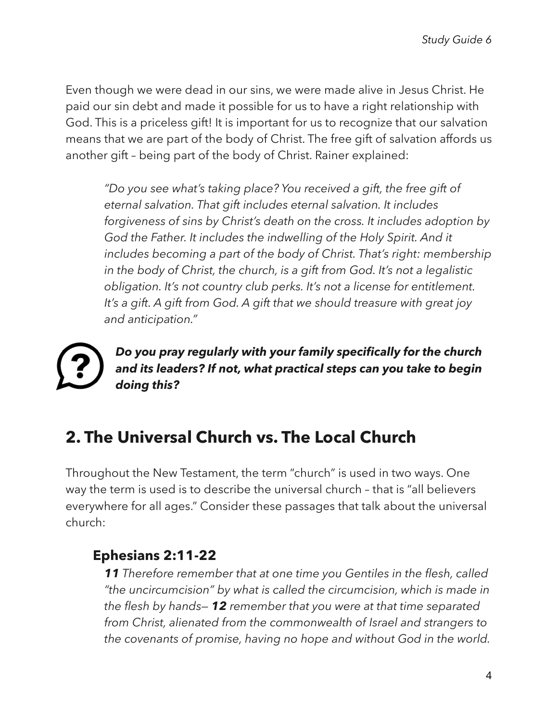Even though we were dead in our sins, we were made alive in Jesus Christ. He paid our sin debt and made it possible for us to have a right relationship with God. This is a priceless gift! It is important for us to recognize that our salvation means that we are part of the body of Christ. The free gift of salvation affords us another gift – being part of the body of Christ. Rainer explained:

*"Do you see what's taking place? You received a gift, the free gift of eternal salvation. That gift includes eternal salvation. It includes forgiveness of sins by Christ's death on the cross. It includes adoption by*  God the Father. It includes the indwelling of the Holy Spirit. And it *includes becoming a part of the body of Christ. That's right: membership in the body of Christ, the church, is a gift from God. It's not a legalistic obligation. It's not country club perks. It's not a license for entitlement. It's a gift. A gift from God. A gift that we should treasure with great joy and anticipation."* 

*Do you pray regularly with your family specifically for the church and its leaders? If not, what practical steps can you take to begin doing this?* 

## **2. The Universal Church vs. The Local Church**

Throughout the New Testament, the term "church" is used in two ways. One way the term is used is to describe the universal church – that is "all believers everywhere for all ages." Consider these passages that talk about the universal church:

### **Ephesians 2:11-22**

*11 Therefore remember that at one time you Gentiles in the flesh, called "the uncircumcision" by what is called the circumcision, which is made in the flesh by hands— 12 remember that you were at that time separated from Christ, alienated from the commonwealth of Israel and strangers to the covenants of promise, having no hope and without God in the world.*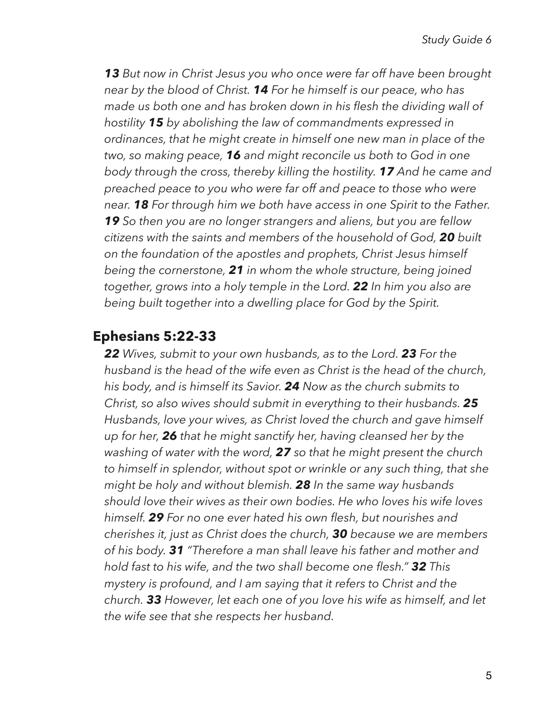*13 But now in Christ Jesus you who once were far off have been brought near by the blood of Christ. 14 For he himself is our peace, who has made us both one and has broken down in his flesh the dividing wall of hostility 15 by abolishing the law of commandments expressed in ordinances, that he might create in himself one new man in place of the two, so making peace, 16 and might reconcile us both to God in one body through the cross, thereby killing the hostility. 17 And he came and preached peace to you who were far off and peace to those who were near. 18 For through him we both have access in one Spirit to the Father. 19 So then you are no longer strangers and aliens, but you are fellow citizens with the saints and members of the household of God, 20 built on the foundation of the apostles and prophets, Christ Jesus himself being the cornerstone, 21 in whom the whole structure, being joined together, grows into a holy temple in the Lord. 22 In him you also are being built together into a dwelling place for God by the Spirit.* 

#### **Ephesians 5:22-33**

*22 Wives, submit to your own husbands, as to the Lord. 23 For the husband is the head of the wife even as Christ is the head of the church, his body, and is himself its Savior. 24 Now as the church submits to Christ, so also wives should submit in everything to their husbands. 25 Husbands, love your wives, as Christ loved the church and gave himself up for her, 26 that he might sanctify her, having cleansed her by the washing of water with the word, 27 so that he might present the church to himself in splendor, without spot or wrinkle or any such thing, that she might be holy and without blemish. 28 In the same way husbands should love their wives as their own bodies. He who loves his wife loves himself. 29 For no one ever hated his own flesh, but nourishes and cherishes it, just as Christ does the church, 30 because we are members of his body. 31 "Therefore a man shall leave his father and mother and hold fast to his wife, and the two shall become one flesh." 32 This mystery is profound, and I am saying that it refers to Christ and the church. 33 However, let each one of you love his wife as himself, and let the wife see that she respects her husband.*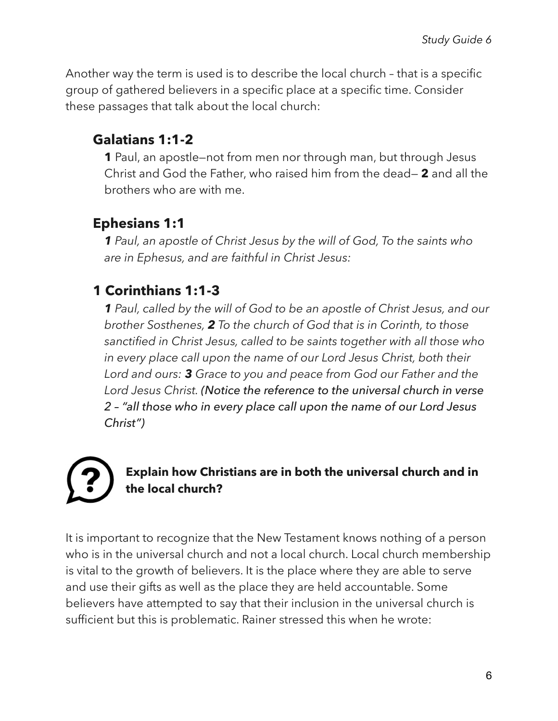Another way the term is used is to describe the local church – that is a specific group of gathered believers in a specific place at a specific time. Consider these passages that talk about the local church:

### **Galatians 1:1-2**

**1** Paul, an apostle—not from men nor through man, but through Jesus Christ and God the Father, who raised him from the dead— **2** and all the brothers who are with me.

### **Ephesians 1:1**

*1 Paul, an apostle of Christ Jesus by the will of God, To the saints who are in Ephesus, and are faithful in Christ Jesus:* 

### **1 Corinthians 1:1-3**

*1 Paul, called by the will of God to be an apostle of Christ Jesus, and our brother Sosthenes, 2 To the church of God that is in Corinth, to those sanctified in Christ Jesus, called to be saints together with all those who in every place call upon the name of our Lord Jesus Christ, both their Lord and ours: 3 Grace to you and peace from God our Father and the Lord Jesus Christ. (Notice the reference to the universal church in verse 2 – "all those who in every place call upon the name of our Lord Jesus Christ")*



#### **Explain how Christians are in both the universal church and in the local church?**

It is important to recognize that the New Testament knows nothing of a person who is in the universal church and not a local church. Local church membership is vital to the growth of believers. It is the place where they are able to serve and use their gifts as well as the place they are held accountable. Some believers have attempted to say that their inclusion in the universal church is sufficient but this is problematic. Rainer stressed this when he wrote: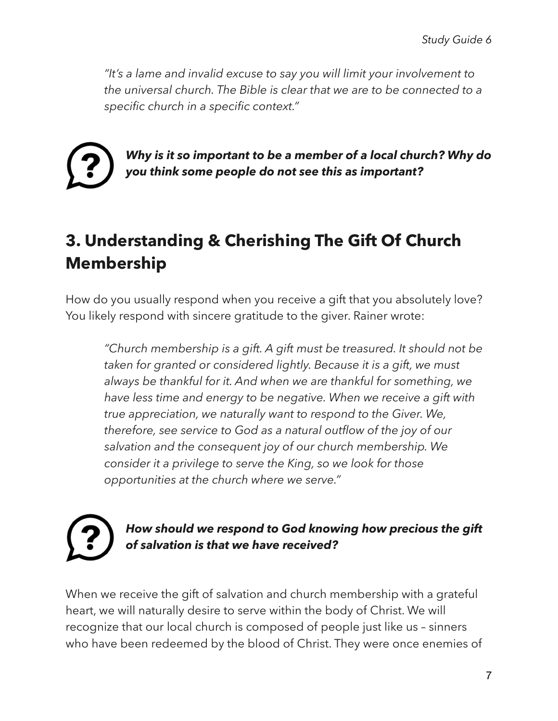*"It's a lame and invalid excuse to say you will limit your involvement to the universal church. The Bible is clear that we are to be connected to a specific church in a specific context."* 



*Why is it so important to be a member of a local church? Why do you think some people do not see this as important?* 

## **3. Understanding & Cherishing The Gift Of Church Membership**

How do you usually respond when you receive a gift that you absolutely love? You likely respond with sincere gratitude to the giver. Rainer wrote:

*"Church membership is a gift. A gift must be treasured. It should not be taken for granted or considered lightly. Because it is a gift, we must always be thankful for it. And when we are thankful for something, we have less time and energy to be negative. When we receive a gift with true appreciation, we naturally want to respond to the Giver. We, therefore, see service to God as a natural outflow of the joy of our salvation and the consequent joy of our church membership. We consider it a privilege to serve the King, so we look for those opportunities at the church where we serve."* 

#### *How should we respond to God knowing how precious the gift of salvation is that we have received?*

When we receive the gift of salvation and church membership with a grateful heart, we will naturally desire to serve within the body of Christ. We will recognize that our local church is composed of people just like us – sinners who have been redeemed by the blood of Christ. They were once enemies of